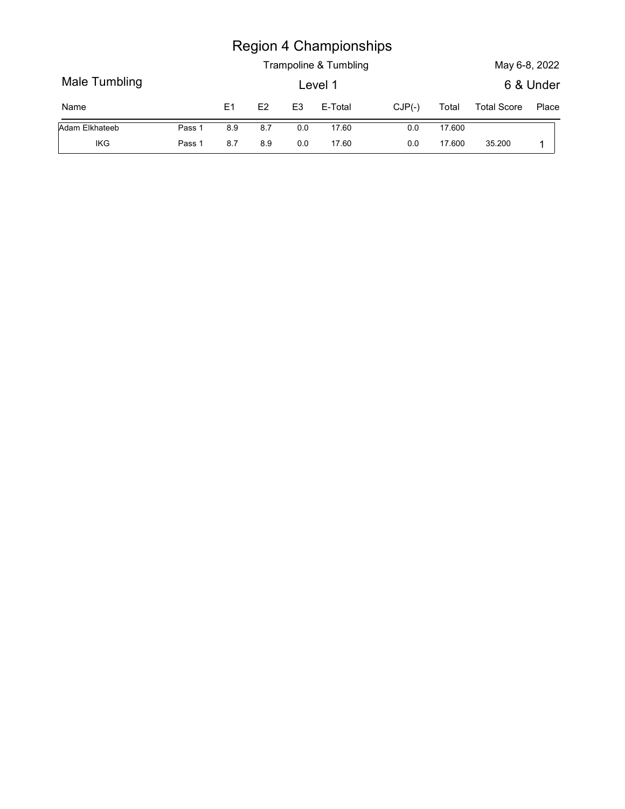|                |        |                |     |                | <b>Region 4 Championships</b>    |          |        |                    |                    |
|----------------|--------|----------------|-----|----------------|----------------------------------|----------|--------|--------------------|--------------------|
| Male Tumbling  |        |                |     |                | Trampoline & Tumbling<br>Level 1 |          |        | May 6-8, 2022      |                    |
| Name           |        | E <sub>1</sub> | E2  | E <sub>3</sub> | E-Total                          | $CJP(-)$ | Total  | <b>Total Score</b> | 6 & Under<br>Place |
| Adam Elkhateeb | Pass 1 | 8.9            | 8.7 | 0.0            | 17.60                            | $0.0\,$  | 17.600 |                    |                    |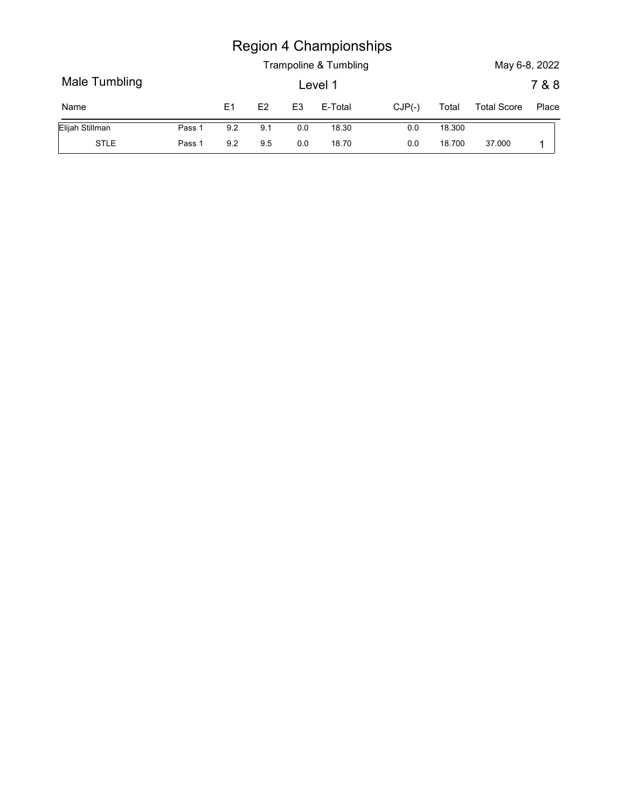|                 |        |                |     |                | <b>Region 4 Championships</b><br>Trampoline & Tumbling |          |        | May 6-8, 2022      |       |
|-----------------|--------|----------------|-----|----------------|--------------------------------------------------------|----------|--------|--------------------|-------|
| Male Tumbling   |        |                |     |                | Level 1                                                |          |        |                    | 7 & 8 |
| Name            |        | E <sub>1</sub> | E2  | E <sub>3</sub> | E-Total                                                | $CJP(-)$ | Total  | <b>Total Score</b> | Place |
| Elijah Stillman | Pass 1 | 9.2            | 9.1 | 0.0            | 18.30                                                  | $0.0\,$  | 18.300 |                    |       |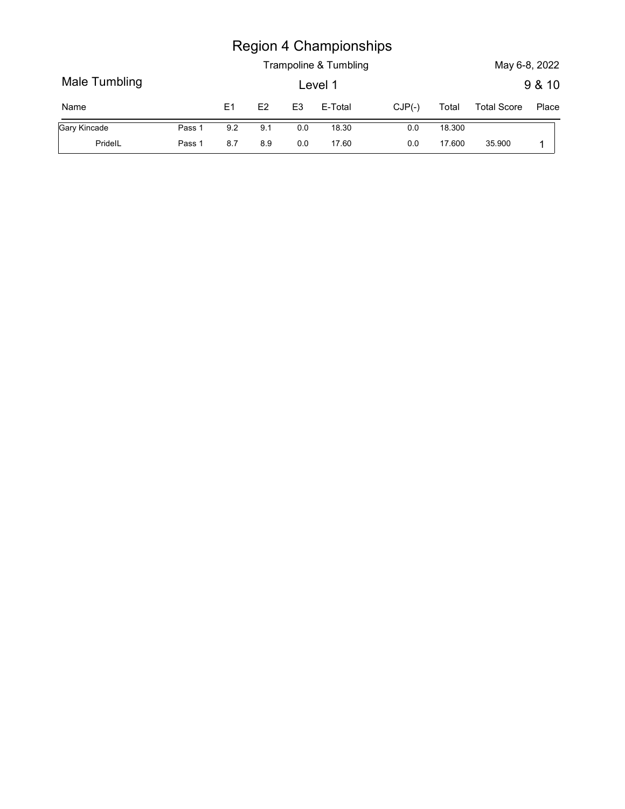|               |        |                |     |                | <b>Region 4 Championships</b><br>Trampoline & Tumbling |          |        | May 6-8, 2022      |                 |
|---------------|--------|----------------|-----|----------------|--------------------------------------------------------|----------|--------|--------------------|-----------------|
| Male Tumbling |        |                |     |                | Level 1                                                |          |        |                    |                 |
| Name          |        | E <sub>1</sub> | E2  | E <sub>3</sub> | E-Total                                                | $CJP(-)$ | Total  | <b>Total Score</b> | 9 & 10<br>Place |
| Gary Kincade  | Pass 1 | 9.2            | 9.1 | 0.0            | 18.30                                                  | $0.0\,$  | 18.300 |                    |                 |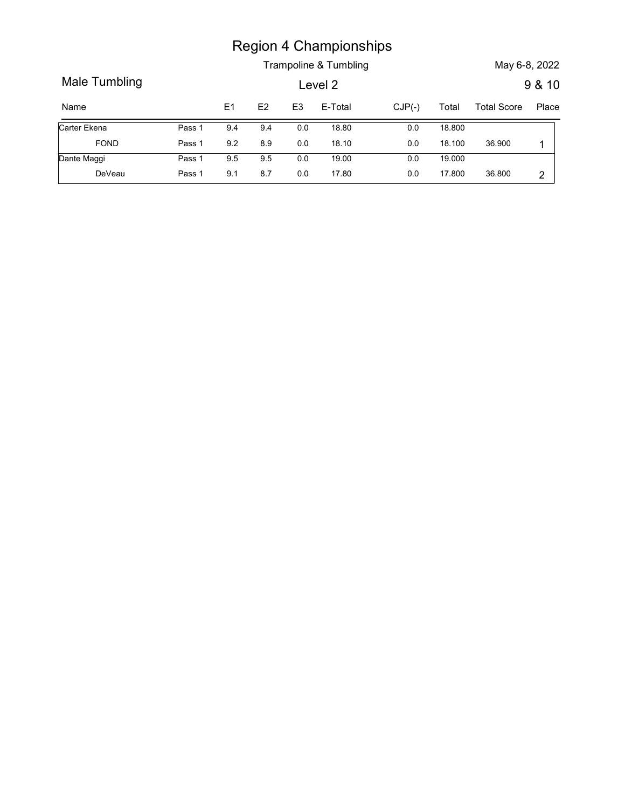|               |        |                |         |                | <b>Region 4 Championships</b> |          |        |                    |                 |
|---------------|--------|----------------|---------|----------------|-------------------------------|----------|--------|--------------------|-----------------|
|               |        |                |         |                | Trampoline & Tumbling         |          |        | May 6-8, 2022      |                 |
| Male Tumbling |        |                |         |                | Level 2                       |          |        |                    |                 |
| Name          |        | E <sub>1</sub> | E2      | E <sub>3</sub> | E-Total                       | $CJP(-)$ | Total  | <b>Total Score</b> | 9 & 10<br>Place |
| Carter Ekena  | Pass 1 | 9.4            | 9.4     | $0.0\,$        | 18.80                         | $0.0\,$  | 18.800 |                    |                 |
| FOND          | Pass 1 | 9.2            | $8.9\,$ | $0.0\,$        | 18.10                         | $0.0\,$  | 18.100 | 36.900             | $\overline{1}$  |
| Dante Maggi   | Pass 1 | 9.5            | 9.5     | $0.0\,$        | 19.00                         | $0.0\,$  | 19.000 |                    |                 |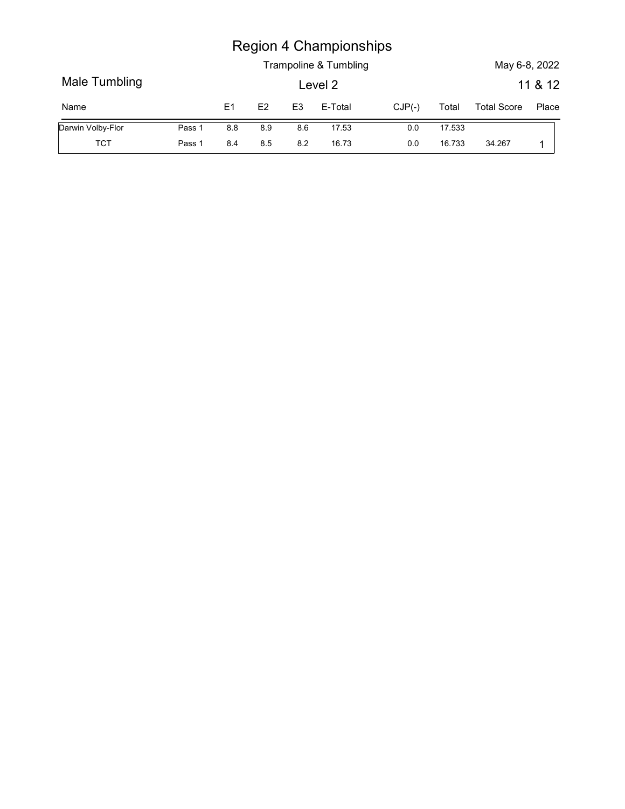| <b>Region 4 Championships</b> |
|-------------------------------|
|-------------------------------|

|                   |               |     |                | <b>Region 4 Championships</b> |          |        |                    |               |
|-------------------|---------------|-----|----------------|-------------------------------|----------|--------|--------------------|---------------|
|                   |               |     |                | Trampoline & Tumbling         |          |        |                    | May 6-8, 2022 |
| Male Tumbling     |               |     |                | Level 2                       |          |        |                    | 11 & 12       |
| Name              | E1            | E2  | E <sub>3</sub> | E-Total                       | $CJP(-)$ | Total  | <b>Total Score</b> | Place         |
| Darwin Volby-Flor | Pass 1<br>8.8 | 8.9 | 8.6            | 17.53                         | 0.0      | 17.533 |                    |               |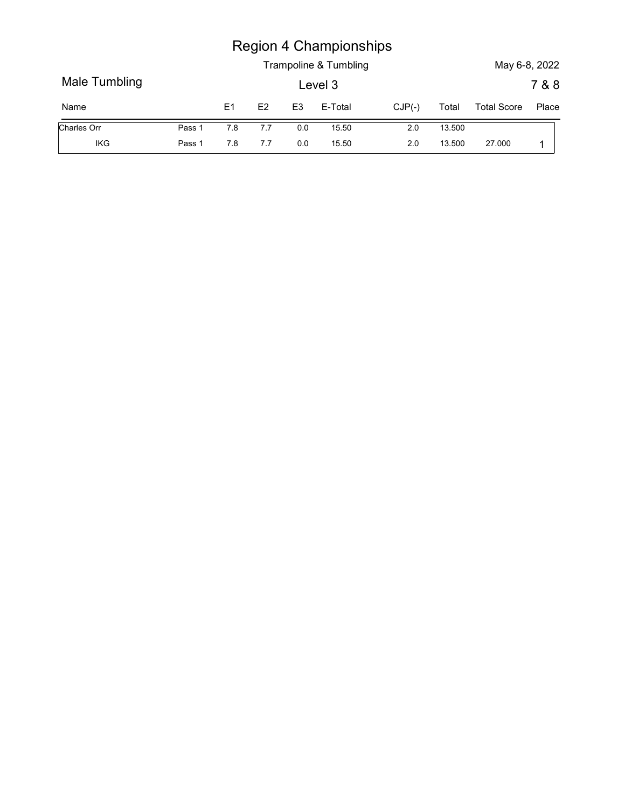|               |        |     |     |                | <b>Region 4 Championships</b>    |          |        |                    |       |
|---------------|--------|-----|-----|----------------|----------------------------------|----------|--------|--------------------|-------|
| Male Tumbling |        |     |     |                | Trampoline & Tumbling<br>Level 3 |          |        | May 6-8, 2022      | 7 & 8 |
| Name          |        | E1  | E2  | E <sub>3</sub> | E-Total                          | $CJP(-)$ | Total  | <b>Total Score</b> | Place |
| Charles Orr   | Pass 1 | 7.8 | 7.7 | 0.0            | 15.50                            | 2.0      | 13.500 |                    |       |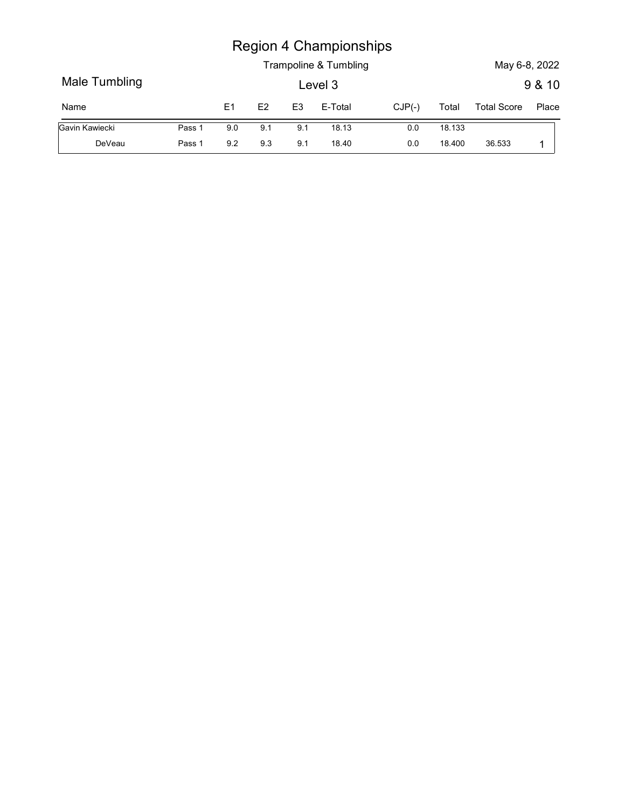|                |        |                |     |                | <b>Region 4 Championships</b>    |          |        |                    |                 |
|----------------|--------|----------------|-----|----------------|----------------------------------|----------|--------|--------------------|-----------------|
| Male Tumbling  |        |                |     |                | Trampoline & Tumbling<br>Level 3 |          |        | May 6-8, 2022      |                 |
| Name           |        | E <sub>1</sub> | E2  | E <sub>3</sub> | E-Total                          | $CJP(-)$ | Total  | <b>Total Score</b> | 9 & 10<br>Place |
| Gavin Kawiecki | Pass 1 | 9.0            | 9.1 | 9.1            | 18.13                            | $0.0\,$  | 18.133 |                    |                 |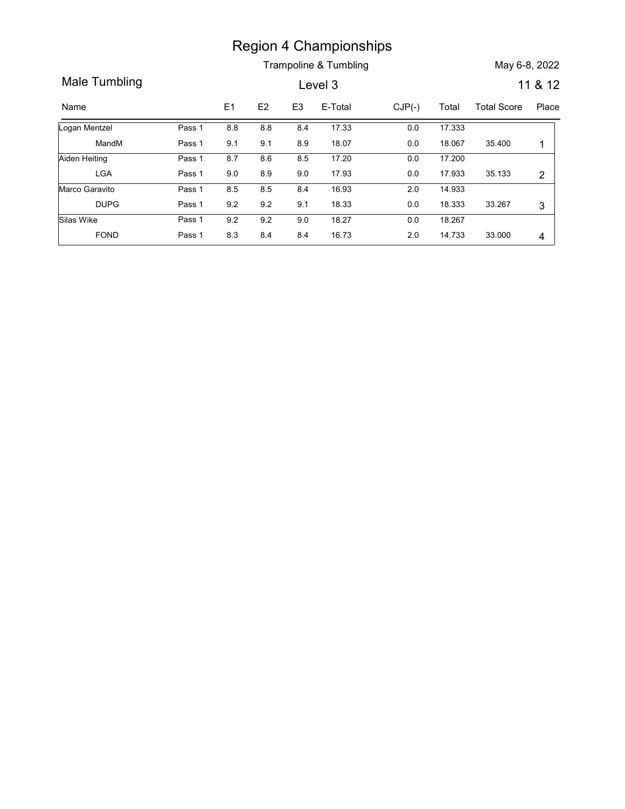Trampoline & Tumbling May 6-8, 2022

Region 4 Championships<br>
Trampoline & Tumbling<br>
Name E1 E2 E3 E-Total CJP(-) Total Total Score Place<br>
Rame E1 E2 E3 E-Total CJP(-) Total Total Score Place<br>
Rame Pass 1 8.8 8.8 8.4 17.33 0.0 17.333<br>
Maden Heiting Pass 1 9.1 Region 4 Championships<br>
Trampoline & Tumbling<br>
Level 3 11 & 12<br>
Name E1 E2 E3 E-Total CJP(-) Total Total Score Place<br>
Ogan Mentzel Pass 1 8.8 8.8 8.4 17.33 0.0 17.333<br>
MandM Pass 1 9.1 8.9 18.07 0.0 18.067 35.400 1 Region 4 Championships<br>
Trampoline & Tumbling<br>
Level 3<br>
11 & 12<br>
E2 E3 E-Total CJP(-) Total Total Score Place<br>
8.8 8.8 8.4 17.33 0.0 17.333<br>
9.1 9.1 8.9 18.07 0.0 18.067 35.400 1<br>
8.7 8.6 8.5 17.20 0.0 17.200<br>
9.0 8.9 9.0 MandM Logan Mentzel **Communication** Pass 1 Region 4 Championships<br>
Trampoline & Tumbling<br>
Level 3<br>
11 & 12<br>
11 & 12<br>
11 & 12<br>
11 & 12<br>
11 & 12<br>
11 & 12<br>
11 & 12<br>
11 & 12<br>
11 & 12<br>
11 & 12<br>
11 & 12<br>
11 & 12<br>
13.00<br>
13.33<br>
14.1<br>
18.9<br>
16.07<br>
16.00<br>
16.067<br>
16.00<br>
17. 17.333 0.0 18.067 Pass 1 0.8 8.8 8.4 17.33 0.0 17.333 to the set of the set of the set of the set of the set of the set of the s Pass 1 9.1 9.1 8.9 18.07 Region 4 Championships<br>
Trampoline & Tumbling<br>
Level 3 11 & 12<br>
E-1 E2 E3 E-Total CJP(-) Total Total Score Place<br>
8.8 8.8 8.4 17.33 0.0 17.333<br>
9.1 8.6 8.5 17.20 0.0 18.067 35.400 1<br>
8.7 8.6 8.5 17.20 0.0 17.200<br>
9.0 8.9 9 LGA Pass 1 Aiden Heiting **Pass 1** 8.7 8.6 Region 4 Championships<br>
Trampoline & Tumbling<br>
Level 3 11 & 12<br>
11 & 12<br>
11 & 12<br>
11 & 12<br>
8.9 8.9 8.4 17.33 0.0 17.333<br>
9.1 9.1 8.9 8.17.20<br>
9.0 8.9 9.0 17.93 0.0 17.920<br>
8.5 8.5 8.4 16.93 2.0 11.933 35.133 2<br>
9.2 9.2 9.1 17.200 0.0 17.933 Pass 1 08.7 0.8.5 17.20 0.0 17.200 8.5 8.5 8.4 16.93 DUPG Pass 1 9.2 9.2 9.1 18.33 Marco Garavito **Pass 1** 8.5 8.4 **Example 8.** Trampoline & Tumbling<br>
Level 3<br>
Level 3<br>
11 & 12<br>
11 & 12<br>
11 & 12<br>
11 B2 E3 E-Total<br>
8.8 8.8 8.4 17.33<br>
10.0 17.333<br>
10.0 17.333<br>
10.0 17.333<br>
13.7 8.6 8.5 17.20<br>
17.20<br>
18.7 8.6 8.5 17.20<br>
18.7 8.6 8.5 17.20 14.933 0.0 18.333 Pass 1 8.5 8.5 8.4 16.93 2.0 14.933 Pass 1 9.2 9.2 9.1 18.33 **Example 6.** Tumbling<br> **Example 6.** Tumbling<br> **Example 8.** Tumbling<br> **Example 8.** Tumbling<br> **Example 8.** Tumbling<br> **Example 8.** Tumbling<br> **Example 8.** 11. **Example 8.** 11. **Example 8.** 11. **Example 8.** 11. **Example 8.** 11. FOND Pass 1 8.3 8.4 8.4 16.73 Silas Wike Pass 1 9.2 9.2 **Region 4 Championships**<br>
Trampoline & Tumbling<br>
Level 3 11 & 12<br>
11 & 12<br>
11 & 12<br>
13 8.8 8.8 8.4 17.33<br>
19.1 8.9 18.07 0.0 18.087 35.400 1<br>
18.7 8.6 8.5 17.20<br>
19.2 8.8 8.8 17.20<br>
19.0 17.933 35.133 2<br>
18.7 8.6 8.5 17.20 18.267 2.0 14.733 Pass 1 9.2 9.2 9.0 18.27 0.0 18.267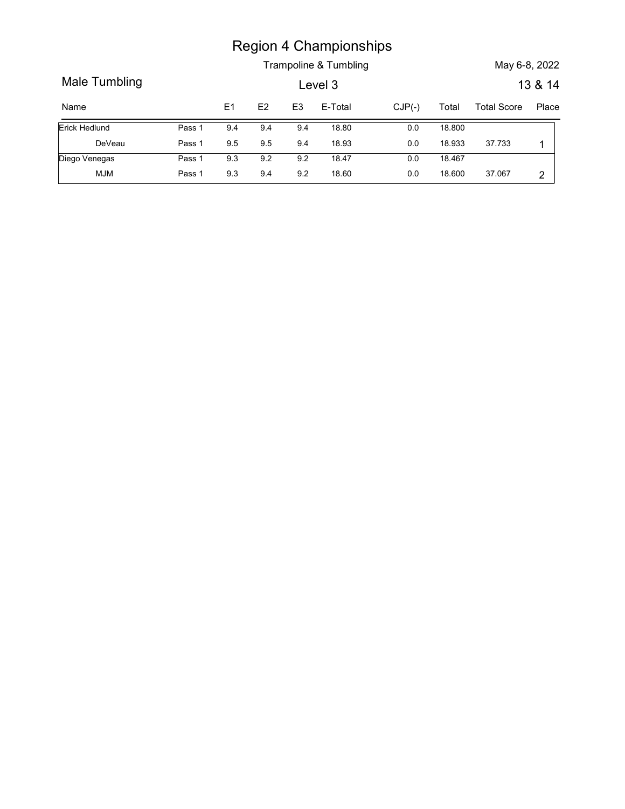|               |        |                |         |                | <b>Region 4 Championships</b> |          |        |                    |                  |
|---------------|--------|----------------|---------|----------------|-------------------------------|----------|--------|--------------------|------------------|
|               |        |                |         |                | Trampoline & Tumbling         |          |        | May 6-8, 2022      |                  |
| Male Tumbling |        |                |         |                | Level 3                       |          |        |                    |                  |
| Name          |        | E <sub>1</sub> | E2      | E <sub>3</sub> | E-Total                       | $CJP(-)$ | Total  | <b>Total Score</b> | 13 & 14<br>Place |
| Erick Hedlund | Pass 1 | 9.4            | 9.4     | 9.4            | 18.80                         | $0.0\,$  | 18.800 |                    |                  |
| DeVeau        | Pass 1 | 9.5            | $9.5\,$ | 9.4            | 18.93                         | $0.0\,$  | 18.933 | 37.733             | $\overline{1}$   |
| Diego Venegas | Pass 1 | 9.3            | 9.2     | 9.2            | 18.47                         | $0.0\,$  | 18.467 |                    |                  |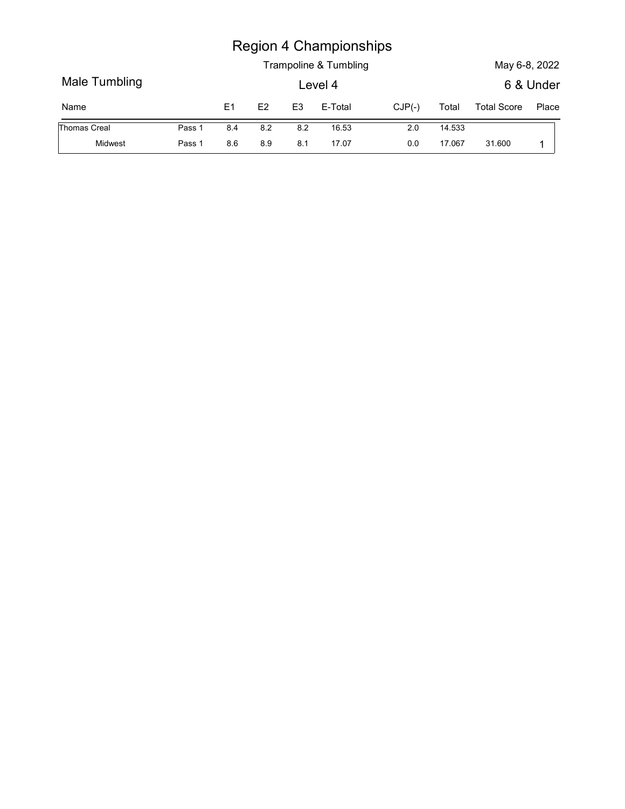|               |        |                |     |                | <b>Region 4 Championships</b><br>Trampoline & Tumbling |          |        | May 6-8, 2022      |           |
|---------------|--------|----------------|-----|----------------|--------------------------------------------------------|----------|--------|--------------------|-----------|
| Male Tumbling |        |                |     |                | Level 4                                                |          |        |                    | 6 & Under |
| Name          |        | E <sub>1</sub> | E2  | E <sub>3</sub> | E-Total                                                | $CJP(-)$ | Total  | <b>Total Score</b> | Place     |
| Thomas Creal  | Pass 1 | 8.4            | 8.2 | 8.2            | 16.53                                                  | 2.0      | 14.533 |                    |           |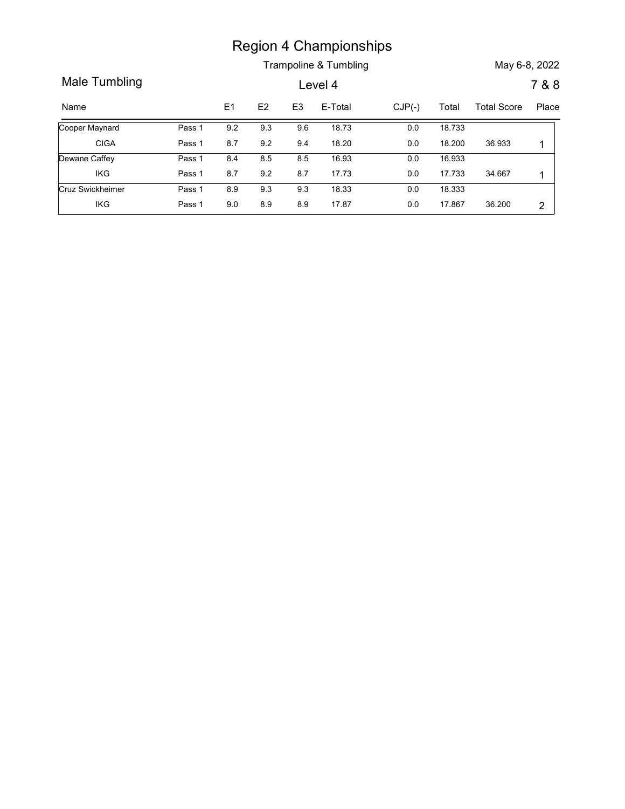Trampoline & Tumbling May 6-8, 2022

Region 4 Championships<br>
Trampoline & Tumbling<br>
Name E1 E2 E3 E-Total CJP(-) Total Total Score Place<br>
Name E1 E2 E3 E-Total CJP(-) Total Total Score Place<br>
Doper Maynard Pass 1 9.2 9.3 9.6 18.73 0.0 18.733<br>
CIGA Pass 1 8.7 Region 4 Championships<br>
Trampoline & Tumbling<br>
Level 4 7 & 8<br>
Name E1 E2 E3 E-Total CJP(-) Total Total Score Place<br>
Cooper Maynard Pass 1 9.2 9.3 9.6 18.73 0.0 18.733<br>
CIGA Pass 1 8.7 9.2 9.4 18.20 0.0 18.200 36.933 1 Region 4 Championships<br>
Trampoline & Tumbling<br>
Level 4 7 & 8<br>
E1 E2 E3 E-Total CJP(-) Total Total Score Place<br>
9.2 9.3 9.6 18.73 0.0 18.73<br>
8.7 9.2 9.4 18.20 0.0 18.200 36.933 1<br>
8.4 8.5 8.5 16.93 0.0 16.933<br>
8.7 9.2 8.7 1 CIGA Pass 1 Cooper Maynard **Pass 1** 9.2 9.3 9.6 Region 4 Championships<br>
Trampoline & Tumbling<br>
Level 4 7 & 8<br>
E1 E2 E3 E-Total CJP(-) Total Total Score Place<br>
9.2 9.3 9.6 18.73 0.0 18.73<br>
8.7 9.2 9.4 18.20 0.0 18.200 36.933 1<br>
8.4 8.5 8.5 16.93 0.0 16.933<br>
8.7 9.2 8.7 1 18.733 0.0 18.200 Pass 1 9.2 9.3 9.6 18.73 0.0 18.733 Region 4 Championships<br>
Trampoline & Tumbling<br>
Level 4 7 & 8<br>
E-T E2 E3 E-Total CJP(-) Total Total Score Place<br>
9.2 9.3 9.6 18.73 0.0 18.733<br>
8.7 9.2 9.4 18.20 0.0 18.200 36.933 1<br>
8.4 8.5 8.5 16.93 0.0 16.933<br>
8.7 9.2 8.7 IKG Pass 1 Dewane Caffey **Pass 1** 8.4 8.5 Region 4 Championships<br>
Trampoline & Tumbling<br>
Level 4 7 & 8<br>
17.8 8<br>
18.7 9.2 9.4 18.73 0.0 18.73<br>
18.7 9.2 9.4 18.93<br>
18.7 9.2 8.7 17.73 0.0 18.933<br>
18.7 9.2 8.7 17.73 0.0 18.933<br>
18.9 9.3 9.3 18.33 0.0 18.333<br>
18.9 9.3 16.933 0.0 17.733 Pass 1 0.4 8.5 8.5 16.93 0.0 16.933 and the set of the set of the set of the set of the set of the set of the s **Example 8. Tumpling**<br> **Example 8. Tumpling**<br> **Example 8. Tumpling**<br> **Example 8. Tumpling**<br> **Example 8. Tumpling**<br> **Example 8. Tumpling**<br> **Example 8. Tumple 8. Tumple 8. Tumple 8. Tumple 8. Tumple 8. Tumple 8. Tumple 8. Tu** IKG Pass 1Cruz Swickheimer Pass 1 8.9 **Example 8.** Trampoline & Tumbling<br>
Level 4 7 & 8<br>
Example 18 8. 2022<br>
Level 4 7 & 8<br>
19.2 9.3 9.6 18.73 0.0 18.733<br>
19.2 9.4 18.20 0.0 18.200 36.933 1<br>
18.4 8.5 8.5 16.93 0.0 16.933<br>
18.7 9.2 8.7 17.73 0.0 17.733 34.667 1 18.333 0.0 17.867 Pass 1 8.9 9.3 9.3 18.33 0.0 18.333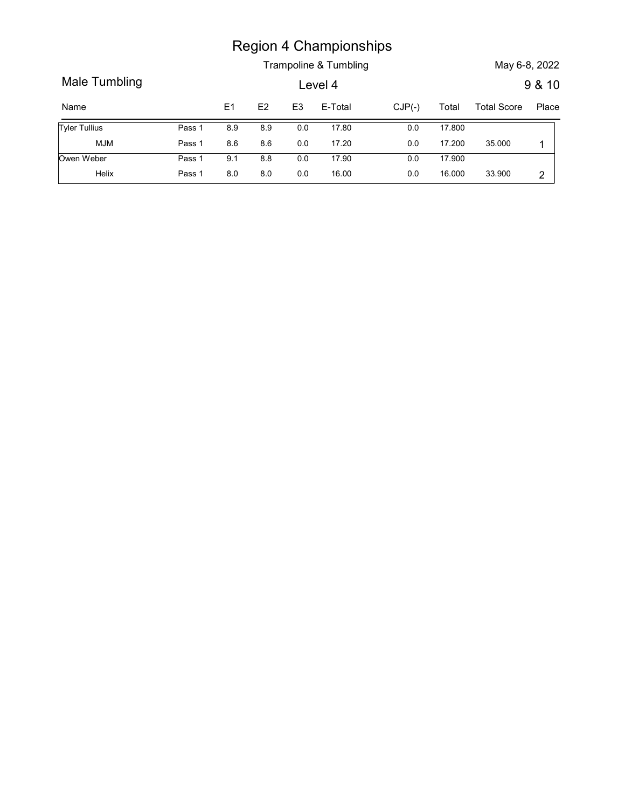|                      |        |                |               |                | <b>Region 4 Championships</b><br>Trampoline & Tumbling |          |        | May 6-8, 2022      |             |
|----------------------|--------|----------------|---------------|----------------|--------------------------------------------------------|----------|--------|--------------------|-------------|
| Male Tumbling        |        |                |               |                | Level 4                                                |          |        |                    | 9 & 10      |
| Name                 |        | E <sub>1</sub> | $\mathsf{E}2$ | E <sub>3</sub> | E-Total                                                | $CJP(-)$ | Total  | <b>Total Score</b> |             |
| <b>Tyler Tullius</b> | Pass 1 | 8.9            | $8.9\,$       | $0.0\,$        | 17.80                                                  | $0.0\,$  | 17.800 |                    | Place       |
| <b>MJM</b>           | Pass 1 | 8.6            | $8.6\,$       | $0.0\,$        | 17.20                                                  | $0.0\,$  | 17.200 | 35.000             | $\mathbf 1$ |
| Owen Weber           | Pass 1 | 9.1            | $8.8\,$       | $0.0\,$        | 17.90                                                  | $0.0\,$  | 17.900 |                    |             |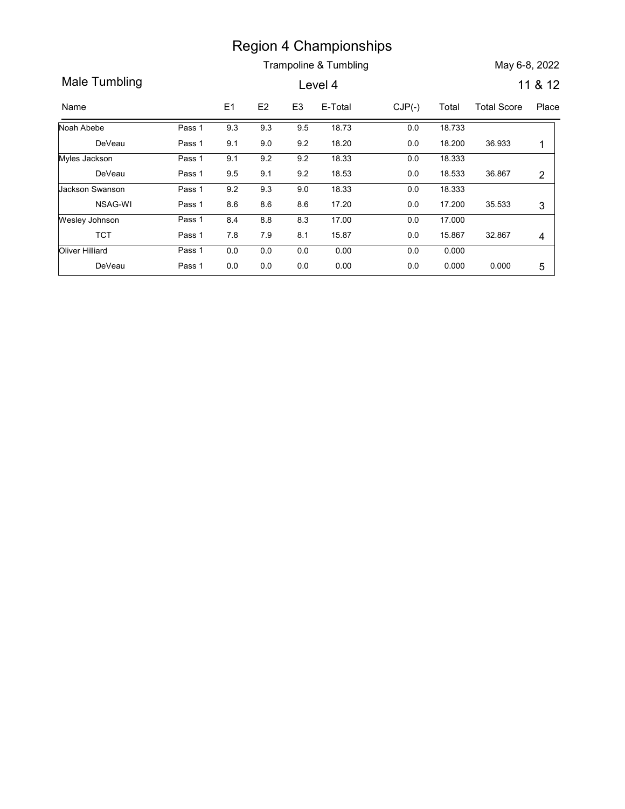Trampoline & Tumbling May 6-8, 2022

Region 4 Championships<br>
Trampoline & Tumbling<br>
Name<br>
Name<br>
E1 E2 E3 E-Total CJP(-) Total Total Score Place<br>
Name<br>
Name<br>
Pass 1 9.3 9.3 9.5 18.73 0.0 18.733<br>
DeVeau Pass 1 9.1 9.0 9.2 18.20 0.0 18.200 36.933 1<br>
Myles Jackso Region 4 Championships<br>
Trampoline & Tumbling<br>
Level 4 11 & 12<br>
Name E1 E2 E3 E-Total CJP(-) Total Total Score Place<br>
Noah Abebe Pass 1 9.3 9.3 9.5 18.73 0.0 18.733<br>
DeVeau Pass 1 9.1 9.0 9.2 18.20 0.0 18.200 36.933 1 Region 4 Championships<br>
Trampoline & Tumbling<br>
Level 4 11 & 12<br>
19.3 9.3 9.5 18.73 0.0 18.73<br>
19.1 9.0 9.2 18.20 0.0 18.200 36.933 1<br>
19.1 9.2 9.2 18.33 0.0 18.333 0.0 18.533 36.867 2<br>
19.1 9.2 9.2 18.53 0.0 18.533 36.867 DeVeau Pass 1 9.1 9.0 9.2 Noah Abebe Pass 1 9.3 9.3 Region 4 Championships<br>
Trampoline & Tumbling<br>
Level 4 11 & 12<br>
11 & 12<br>
19.2 53 E-Total<br>
19.2 9.2 18.20<br>
18.20 18.20 36.933<br>
19.1 9.2 9.2 18.33<br>
19.7 9.2 18.33<br>
19.7 9.2 18.33<br>
19.7 9.2 18.33<br>
19.9 19.2 18.33<br>
19.9 18.33<br> 18.733 0.0 18.200 Pass 1 9.3 9.3 9.5 18.73 0.0 18.733 Pass 1 9.1 9.0 9.2 18.20 Region 4 Championships<br>
Trampoline & Tumbling<br>
Level 4 11 & 12<br>
11 & 12<br>
9.3 9.3 9.5 18.73 0.0 18.733<br>
9.4 9.2 9.2 18.33 0.0 18.333<br>
9.5 9.1 9.2 18.53 0.0 18.533 36.867 2<br>
9.2 9.3 9.0 18.33 0.0 18.533 36.867 2<br>
9.2 9.3 9.0 DeVeau Pass 1 9.5 9.1 9.2 Myles Jackson Pass 1 9.1 9.2 Region 4 Championships<br>
Trampoline & Tumbling<br>
Level 4 11 & 12<br>
19.1 9.2 18.53 18.73 0.0 18.73<br>
19.1 9.0 9.2 18.20 0.0 18.73<br>
19.5 9.1 9.2 18.53 0.0 18.333<br>
19.5 9.1 9.2 18.53 0.0 18.533 36.867 2<br>
19.2 9.3 9.0 18.33 0.0 18 18.333 0.0 18.533 Pass 1 9.1 9.2 9.2 18.33 0.0 18.333 Pass 1 9.5 9.1 9.2 18.53 **Example 6.** Trampoline 8. Tumbling<br>
Level 4 11 8. 12<br>
19.3 9.3 9.5 18.73 0.0 18.733<br>
19.1 9.2 9.2 18.33 0.0 18.733<br>
19.1 9.2 9.2 18.33 0.0 18.200 36.933 1<br>
19.1 9.2 9.2 18.33 0.0 18.333 36.867 2<br>
19.2 9.3 9.0 18.33 0.0 18 NSAG-WI Jackson Swanson **Example 6.** Trampoline & Tumbling<br>
Level 4 11 & 12<br>
Level 4 11 & 12<br> **Example 8.** Total CJP(-) Total Total Score Place<br> **Example 8.** Total CJP(-) Total Total Score Place<br> **Example 8.** Total CJP(-) Total Total Score Place<br> 18.333 0.0 17.200 35.533 3 Pass 1 9.2 9.3 9.0 18.33 0.0 18.333 Pass 1 8.6 8.6 8.6 17.20 Region 4 Championships<br>
Trampoline & Tumbling<br>
Level 4 11 & 12<br>
8.3 8.3 8.5 18.73 0.0 18.733<br>
9.1 9.0 9.2 18.33 0.0 18.733<br>
9.5 9.1 9.2 18.33 0.0 18.333<br>
9.5 9.1 9.2 18.53 0.0 18.333<br>
9.5 9.1 9.2 18.53 0.0 18.333<br>
9.5 9.1 TCT Pass 1 Wesley Johnson Pass 1 8.4 8.8 8.3 **Region 4 Championships**<br>
Trampoline & Tumbling<br>
Level 4 11 & 12<br>
11 & 12<br>
11 & 12<br>
11 & 12<br>
11 & 12<br>
11 & 12<br>
11 & 12<br>
11 & 12<br>
11 & 12<br>
11 & 12<br>
11 & 12<br>
11 & 12<br>
11 & 12<br>
11 & 12<br>
11 0.0 18.33<br>
11 8.200 36.933<br>
11<br>
11 9 17.000 0.0 15.867 32.867 4 Pass 1 00 17.00 0.0 17.000 0.0 17.000 contract to the Mass 1 0.0 17.000 contract to the Mass 1 Region 4 Championships<br>
Trampoline & Tumbling<br>
Level 4 11 & 12<br>
11 & 12<br>
11 & 12<br>
11 & 12<br>
11 & 12<br>
11 & 12<br>
11 & 12<br>
11 & 12<br>
11 & 12<br>
11 & 12<br>
11 & 12<br>
11 & 12<br>
11 & 12<br>
11 & 12<br>
11 & 12<br>
11 & 12<br>
11 & 12<br>
11 & 12<br>
11 & DeVeau Oliver Hilliard **Pass 1** 0.0 0.0 Region 4 Championships<br>
Trampoline & Tumbling<br>
Level 4 11 & 12<br>
11 & 12<br>
11 & 12<br>
11 & 12<br>
11 & 12<br>
11 & 12<br>
11 & 12<br>
11 & 12<br>
11 & 12<br>
11 & 12<br>
11 & 12<br>
11 & 12<br>
11 & 12<br>
11 & 12<br>
11 & 12<br>
11 & 12<br>
11 & 12<br>
11 & 12<br>
11 & 0.000 0.0 0.000 0.000 5 Pass 1 0.0 Pass 1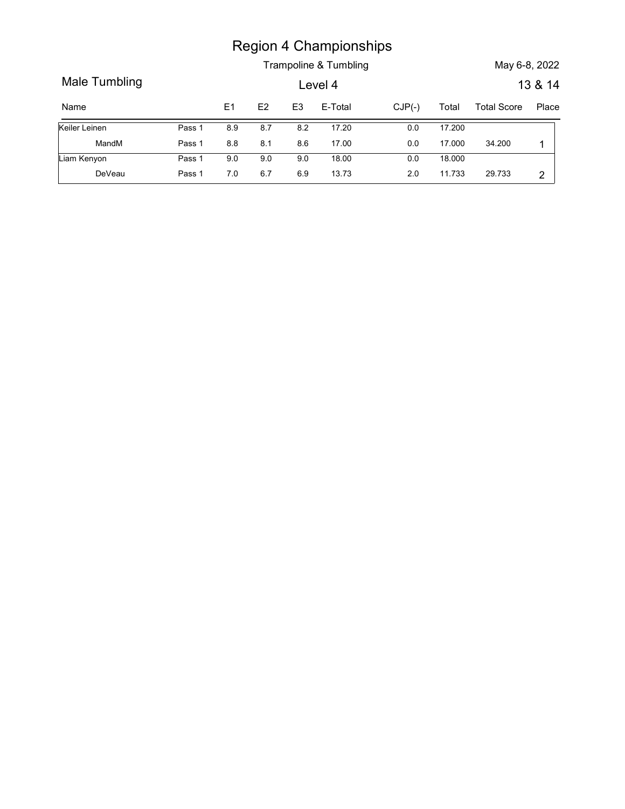|               |        |                |     |                | <b>Region 4 Championships</b><br>Trampoline & Tumbling |          |        | May 6-8, 2022      |                  |
|---------------|--------|----------------|-----|----------------|--------------------------------------------------------|----------|--------|--------------------|------------------|
| Male Tumbling |        |                |     |                | Level 4                                                |          |        |                    |                  |
| Name          |        | E <sub>1</sub> | E2  | E <sub>3</sub> | E-Total                                                | $CJP(-)$ | Total  | <b>Total Score</b> | 13 & 14<br>Place |
| Keiler Leinen | Pass 1 | 8.9            | 8.7 | 8.2            | 17.20                                                  | 0.0      | 17.200 |                    |                  |
| MandM         | Pass 1 | $8.8\,$        | 8.1 | 8.6            | 17.00                                                  | $0.0\,$  | 17.000 | 34.200             | $\overline{1}$   |
| Liam Kenyon   | Pass 1 | 9.0            | 9.0 | 9.0            | 18.00                                                  | $0.0\,$  | 18.000 |                    |                  |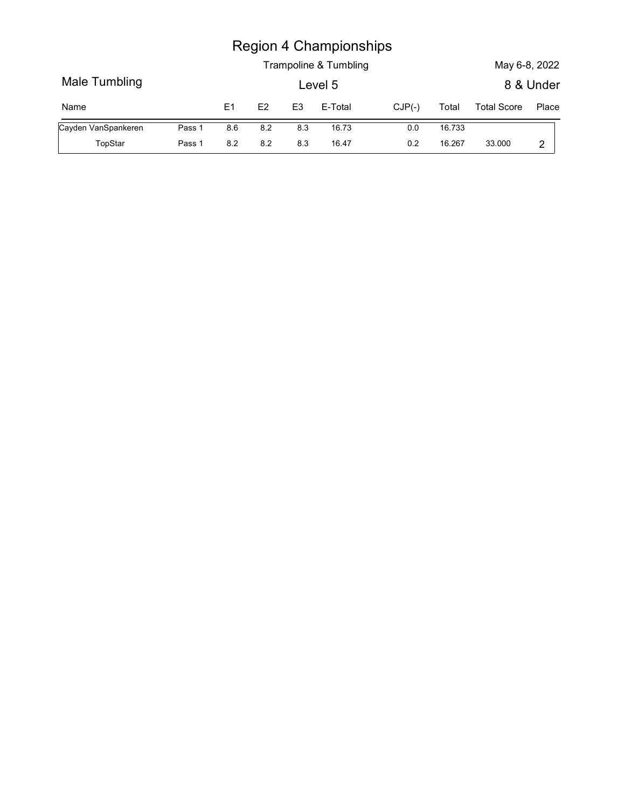|                     |        |                |     |                | <b>Region 4 Championships</b><br>Trampoline & Tumbling |          |        | May 6-8, 2022      |                    |
|---------------------|--------|----------------|-----|----------------|--------------------------------------------------------|----------|--------|--------------------|--------------------|
| Male Tumbling       |        |                |     |                | Level 5                                                |          |        |                    |                    |
| Name                |        | E <sub>1</sub> | E2  | E <sub>3</sub> | E-Total                                                | $CJP(-)$ | Total  | <b>Total Score</b> | 8 & Under<br>Place |
| Cayden VanSpankeren | Pass 1 | 8.6            | 8.2 | 8.3            | 16.73                                                  | $0.0\,$  | 16.733 |                    |                    |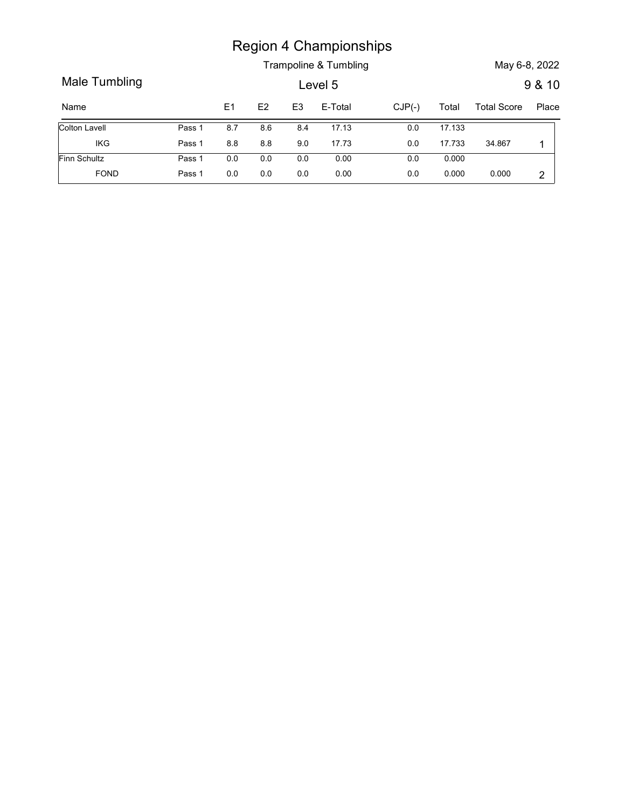|                      |        |                |         |                | <b>Region 4 Championships</b> |          |        |                    |                 |
|----------------------|--------|----------------|---------|----------------|-------------------------------|----------|--------|--------------------|-----------------|
|                      |        |                |         |                | Trampoline & Tumbling         |          |        | May 6-8, 2022      |                 |
| Male Tumbling        |        |                |         |                | Level 5                       |          |        |                    |                 |
| Name                 |        | E <sub>1</sub> | E2      | E <sub>3</sub> | E-Total                       | $CJP(-)$ | Total  | <b>Total Score</b> | 9 & 10<br>Place |
| <b>Colton Lavell</b> | Pass 1 | 8.7            | 8.6     | 8.4            | 17.13                         | $0.0\,$  | 17.133 |                    |                 |
| IKG                  | Pass 1 | 8.8            | $8.8\,$ | 9.0            | 17.73                         | $0.0\,$  | 17.733 | 34.867             | $\overline{1}$  |
| Finn Schultz         | Pass 1 | 0.0            | $0.0\,$ | $0.0\,$        | 0.00                          | $0.0\,$  | 0.000  |                    |                 |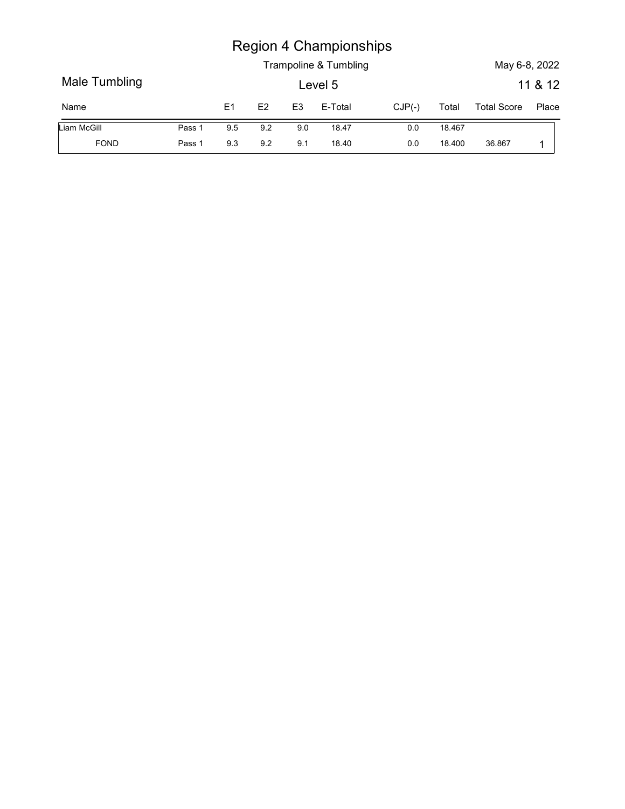|               |        |                |     |                | <b>Region 4 Championships</b> |          |        |                    |         |
|---------------|--------|----------------|-----|----------------|-------------------------------|----------|--------|--------------------|---------|
|               |        |                |     |                | Trampoline & Tumbling         |          |        | May 6-8, 2022      |         |
| Male Tumbling |        |                |     |                | Level 5                       |          |        |                    | 11 & 12 |
| Name          |        | E <sub>1</sub> | E2  | E <sub>3</sub> | E-Total                       | $CJP(-)$ | Total  | <b>Total Score</b> | Place   |
| Liam McGill   | Pass 1 | 9.5            | 9.2 | 9.0            | 18.47                         | $0.0\,$  | 18.467 |                    |         |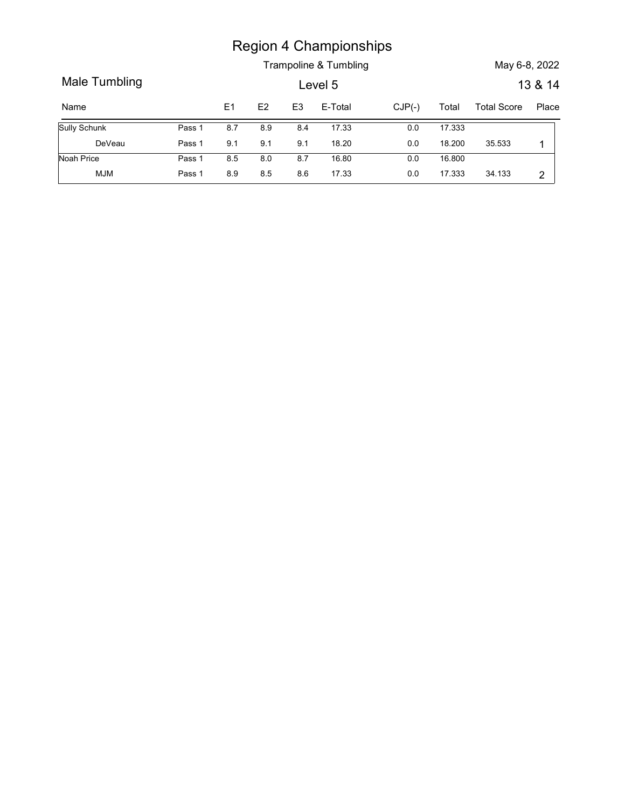|                     |        |                |     |                | <b>Region 4 Championships</b><br>Trampoline & Tumbling |          |        | May 6-8, 2022      |                  |
|---------------------|--------|----------------|-----|----------------|--------------------------------------------------------|----------|--------|--------------------|------------------|
| Male Tumbling       |        |                |     |                | Level 5                                                |          |        |                    |                  |
| Name                |        | E <sub>1</sub> | E2  | E <sub>3</sub> | E-Total                                                | $CJP(-)$ | Total  | <b>Total Score</b> | 13 & 14<br>Place |
| <b>Sully Schunk</b> | Pass 1 | 8.7            | 8.9 | 8.4            | 17.33                                                  | $0.0\,$  | 17.333 |                    |                  |
| DeVeau              | Pass 1 | 9.1            | 9.1 | 9.1            | 18.20                                                  | $0.0\,$  | 18.200 | 35.533             | $\overline{1}$   |
| Noah Price          | Pass 1 | 8.5            | 8.0 | 8.7            | 16.80                                                  | $0.0\,$  | 16.800 |                    |                  |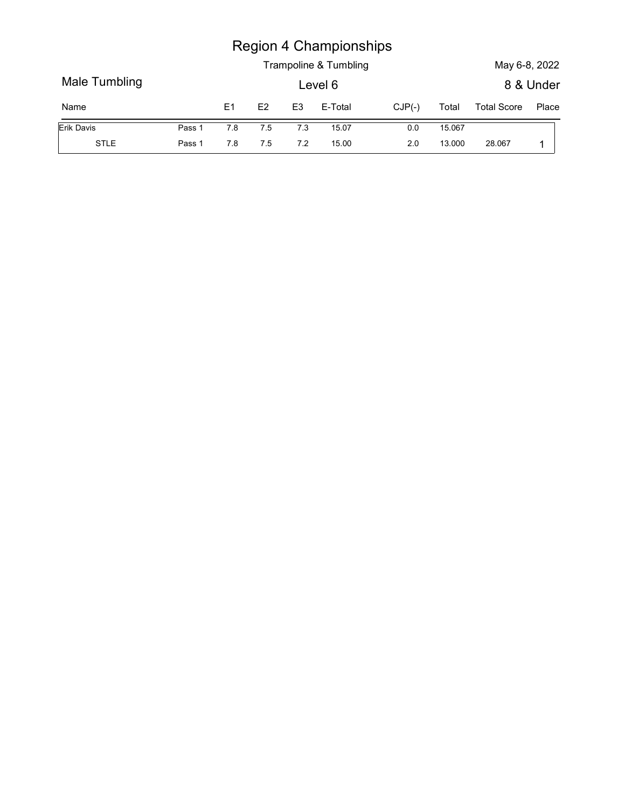|               |        |                |     |                | <b>Region 4 Championships</b><br>Trampoline & Tumbling |          |        | May 6-8, 2022      |           |
|---------------|--------|----------------|-----|----------------|--------------------------------------------------------|----------|--------|--------------------|-----------|
| Male Tumbling |        |                |     |                | Level 6                                                |          |        |                    | 8 & Under |
| Name          |        | E <sub>1</sub> | E2  | E <sub>3</sub> | E-Total                                                | $CJP(-)$ | Total  | <b>Total Score</b> | Place     |
| Erik Davis    | Pass 1 | 7.8            | 7.5 | 7.3            | 15.07                                                  | $0.0\,$  | 15.067 |                    |           |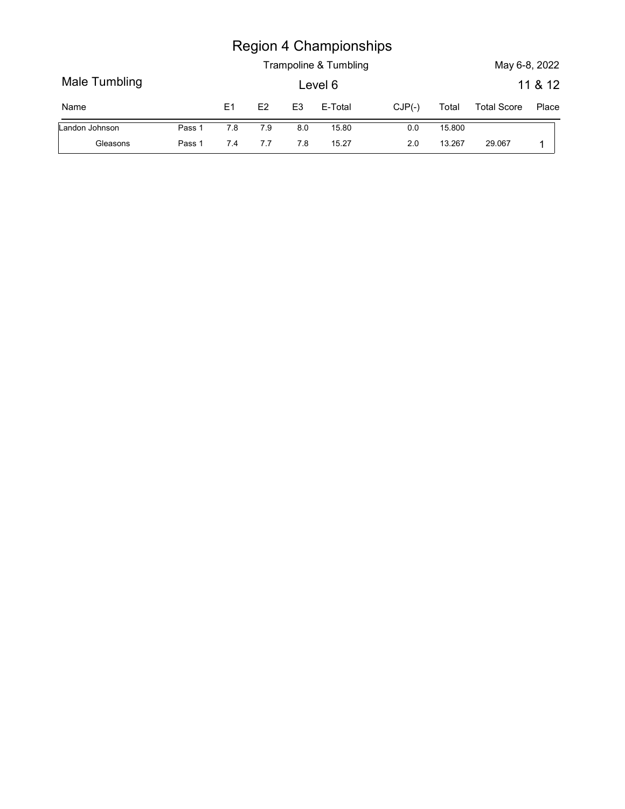|                      |        |                |     |                | <b>Region 4 Championships</b> |          |        |                    |                          |
|----------------------|--------|----------------|-----|----------------|-------------------------------|----------|--------|--------------------|--------------------------|
|                      |        |                |     |                | Trampoline & Tumbling         |          |        |                    |                          |
| <b>Male Tumbling</b> |        |                |     |                | Level 6                       |          |        |                    | May 6-8, 2022<br>11 & 12 |
| Name                 |        | E <sub>1</sub> | E2  | E <sub>3</sub> | E-Total                       | $CJP(-)$ | Total  | <b>Total Score</b> | Place                    |
| Landon Johnson       | Pass 1 | 7.8            | 7.9 | 8.0            | 15.80                         | 0.0      | 15.800 |                    |                          |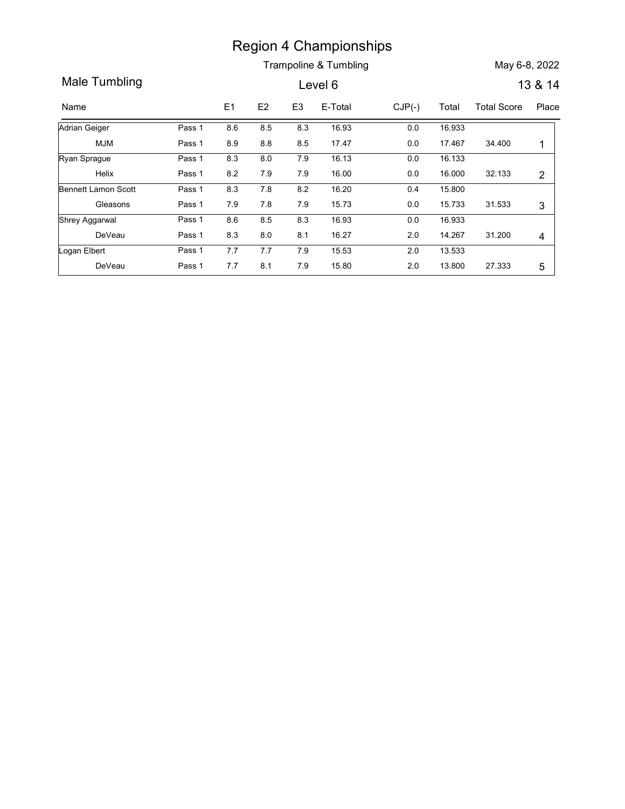Trampoline & Tumbling May 6-8, 2022

Region 4 Championships<br>
Trampoline & Tumbling<br>
Name E1 E2 E3 E-Total CJP(-) Total Total Score Place<br>
Name E1 E2 E3 E-Total CJP(-) Total Total Score Place<br>
Name Pass 1 8.6 8.5 8.3 16.93 0.0 16.933<br>
MM Pass 1 8.9 8.8 8.5 17. Region 4 Championships<br>
Trampoline & Tumbling<br>
May 6-8, 2022<br>
Level 6 13 & 14<br>
Name E1 E2 E3 E-Total CJP(-) Total Total Score Place<br>
Name Pass 1 8.6 8.5 8.3 16.93 0.0 16.933<br>
MJM Pass 1 8.9 8.8 8.5 17.47 0.0 17.467 34.400 Region 4 Championships<br>
Trampoline & Tumbling<br>
Level 6<br>
13 & 14<br>
E1 E2 E3 E-Total CJP(-) Total Total Score Place<br>
8.6 8.5 8.3 16.93<br>
8.9 8.8 8.5 17.47<br>
8.3 8.0 7.9 16.13<br>
8.2 7.9 7.9 16.00<br>
8.3 7.8 8.2 16.20<br>
8.3 7.8 8.2 1 MJM Adrian Geiger **Pass 1** Region 4 Championships<br>
Trampoline & Tumbling<br>
Level 6 (13 & 14<br>
13 & 14<br>
13 & 14<br>
13 & 14<br>
13 & 14<br>
13 & 14<br>
13 & 14<br>
13 & 14<br>
13 & 14<br>
13 & 14<br>
13 & 14<br>
13 & 14<br>
13 & 14<br>
13 & 14<br>
16.13<br>
16.13<br>
16.13<br>
18.3<br>
18.3<br>
18.0<br>
1 16.933 0.0 17.467 Pass 1 0.6 8.5 8.3 16.93 0.0 16.933 0.0 | Region 4 Championships<br>
Trampoline & Tumbling<br>
Level 6 13 & 14<br>
E1 E2 E3 E-Total CJP(-) Total Total Score Place<br>
Pass 1 8.6 8.5 8.3 16.93 0.0 16.933<br>
Pass 1 8.9 8.8 8.5 17.47 0.0 17.467 34.400 1<br>
Pass 1 8.3 8.0 7.9 16.13 0 Helix Pass 1 Ryan Sprague **Pass 1** 8.3 8.0 Region 4 Championships<br>
Trampoline & Tumbling<br>
Level 6 13 & 14<br>
18 & 14<br>
18 & 19 & 16.93<br>
8.9 & 8.6 & 17.47<br>
8.9 & 8 & 5 17.47<br>
8.9 & 8 & 5 17.9 16.00<br>
8.9 7.9 16.00 0.0 16.000 32.133 2<br>
8.3 7.8 & 2 16.20 0.4 15.800<br>
8.9 7 16.133 0.0 16.000 32.133 2 Pass 1 0.3 8.0 7.9 16.13 0.0 16.133 to the set of the set of the set of the set of the set of the set of the s **Example 6. Comparison Comparison Comparison Comparison Comparison Comparison Comparison Comparison Comparison Comparison Comparison Comparison Comparison Comparison Comparison Comparison Comparison Comparison Comparison** Gleasons Pass 1 7.9 7.8 Bennett Lamon Scott Pass 1 8.3 **Example 6. Compare 6. Compare 6. Compare 6. Compare 6. Example 8. Compare 6. Compare 6. Compare 6. Compare 6. Compare 6. Compare 6. Compare 6. Compare 6. Compare 6. Compare 6. Compare 6.** 15.800 0.0 15.733 Pass 1 8.3 7.8 8.2 16.20 0.4 15.800 Pass 1 7.9 7.8 7.9 15.73 **Example 8. Tumbling**<br> **Example 8. Tumbling**<br> **Example 8. Tumbling**<br> **Example 8. Tumbling**<br> **Example 8. Tumbling**<br> **Example 8. 17.47**<br> **Example 8. 17.47**<br> **Example 8. 17.47**<br> **Example 8. 17.47**<br> **Example 8. 17.47**<br> **Exampl** DeVeau Pass 1 8.3 8.0 8.1 Shrey Aggarwal **Pass 1 Region 4 Championships**<br>
Trampoline & Tumbling<br>
Level 6 13 & 14<br>
18 & 14<br>
18 & 18 & 16.93<br>
8.9 & 8.5 & 17.47<br>
8.3 & 8.5 17.47<br>
18.3 & 8.6 17.47<br>
18.3 & 8.6 & 17.47<br>
18.3 & 8.6 & 17.47<br>
18.3 & 8.6 & 17.9 16.00<br>
18.30 & 18. 16.933 2.0 14.267 Pass 1 8.6 8.5 8.3 16.93 0.0 16.933 Pass 1 8.3 8.0 8.1 16.27 **Example 8.** Train Total Companies Companies Companies Companies Companies Companies Companies Companies Companies Companies Companies Companies Companies Companies Companies Companies Companies Companies Companies Compani DeVeau Pass 1 7.7 8.1 7.9 Logan Elbert **Pass 1 Region 4 Championships**<br>
Trampoline & Tumbling<br>
Level 6 13 & 14<br>
13 & 14<br>
13 & 14<br>
13 & 14<br>
8.6 8.5 8.3 16.93 0.0 16.933<br>
8.9 8.8 8.5 17.47 0.0 16.933<br>
8.9 8.8 8.5 17.47 0.0 16.933<br>
7.9 16.00 0.0 16.000 32.133 2<br>
8.3 7.8 13.533 2.0 13.800 Pass 1 2.0 Pass 1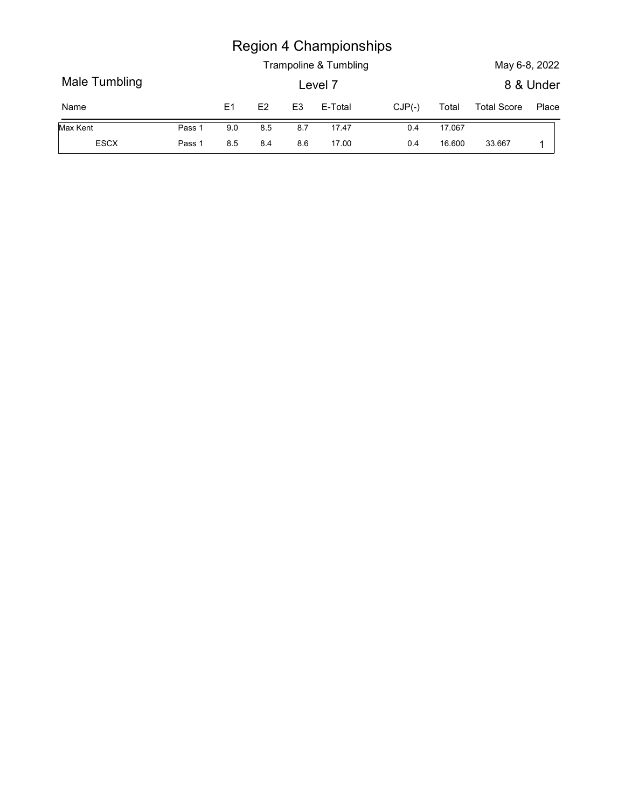|               |        |                |     |                | <b>Region 4 Championships</b><br>Trampoline & Tumbling |          |        | May 6-8, 2022      |           |
|---------------|--------|----------------|-----|----------------|--------------------------------------------------------|----------|--------|--------------------|-----------|
| Male Tumbling |        |                |     |                | Level 7                                                |          |        |                    | 8 & Under |
| Name          |        | E <sub>1</sub> | E2  | E <sub>3</sub> | E-Total                                                | $CJP(-)$ | Total  | <b>Total Score</b> | Place     |
| Max Kent      | Pass 1 | 9.0            | 8.5 | 8.7            | 17.47                                                  | 0.4      | 17.067 |                    |           |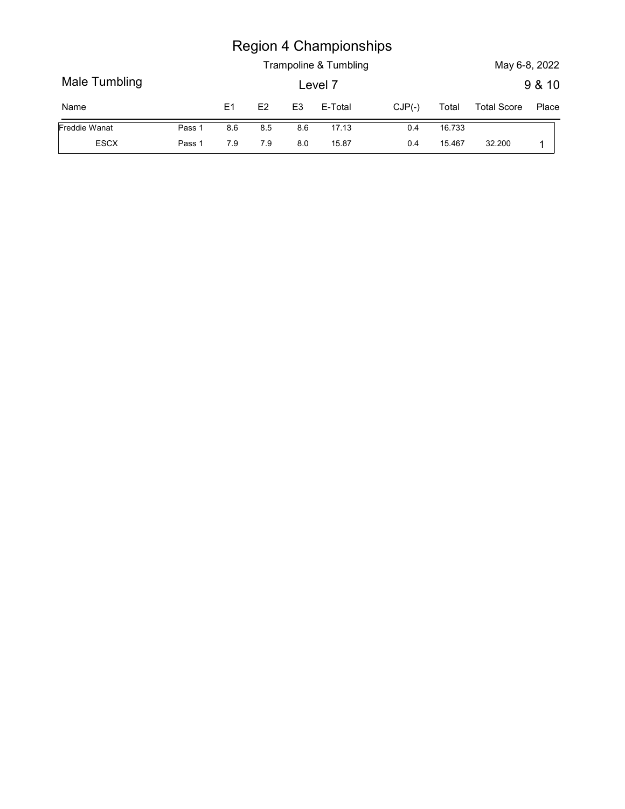|                       |                  |                |              |                | <b>Region 4 Championships</b> |            |                  |                    |        |
|-----------------------|------------------|----------------|--------------|----------------|-------------------------------|------------|------------------|--------------------|--------|
|                       |                  |                |              |                | Trampoline & Tumbling         |            |                  | May 6-8, 2022      |        |
| Male Tumbling         |                  |                |              |                | Level 7                       |            |                  |                    | 9 & 10 |
| Name                  |                  | E <sub>1</sub> | E2           | E <sub>3</sub> | E-Total                       | $CJP(-)$   | Total            | <b>Total Score</b> | Place  |
| Freddie Wanat<br>ESCX | Pass 1<br>Pass 1 | 8.6<br>7.9     | 8.5<br>$7.9$ | 8.6<br>8.0     | 17.13<br>15.87                | 0.4<br>0.4 | 16.733<br>15.467 | 32.200             |        |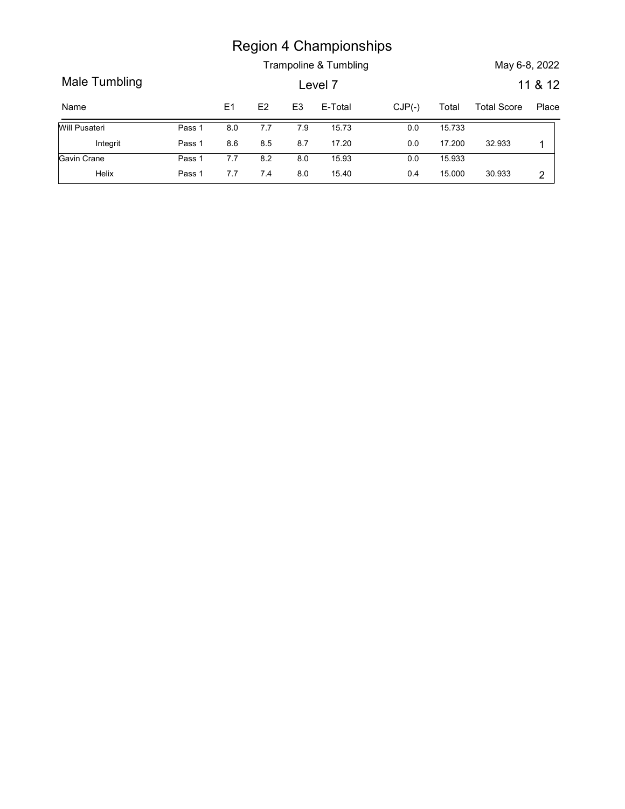|               |        |     |     |                | <b>Region 4 Championships</b> |          |        |                    |                |
|---------------|--------|-----|-----|----------------|-------------------------------|----------|--------|--------------------|----------------|
|               |        |     |     |                | Trampoline & Tumbling         |          |        | May 6-8, 2022      |                |
| Male Tumbling |        |     |     |                | Level 7                       |          |        |                    | 11 & 12        |
| Name          |        | E1  | E2  | E <sub>3</sub> | E-Total                       | $CJP(-)$ | Total  | <b>Total Score</b> |                |
| Will Pusateri | Pass 1 | 8.0 | 7.7 | 7.9            | 15.73                         | $0.0\,$  | 15.733 |                    | Place          |
| Integrit      | Pass 1 | 8.6 | 8.5 | 8.7            | 17.20                         | $0.0\,$  | 17.200 | 32.933             | $\overline{1}$ |
| Gavin Crane   | Pass 1 | 7.7 | 8.2 | 8.0            | 15.93                         | $0.0\,$  | 15.933 |                    |                |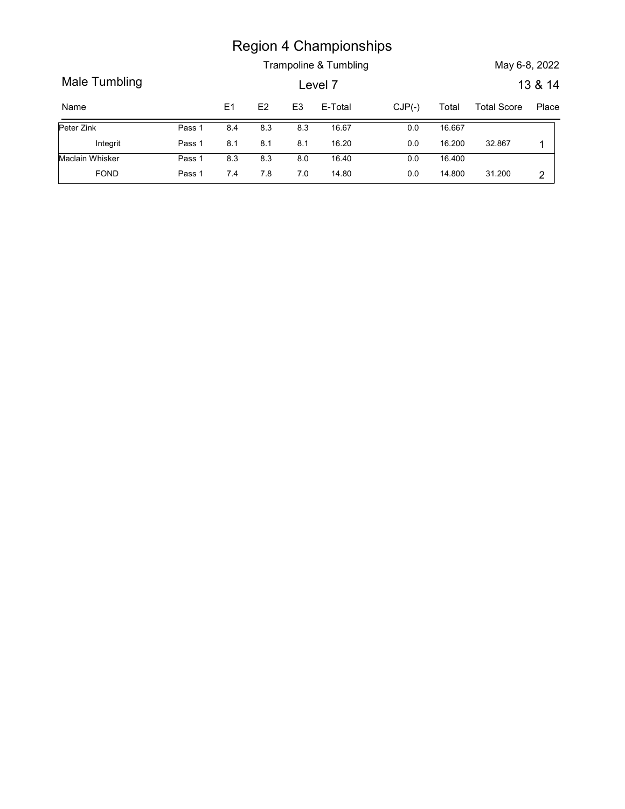|                 |        |     |     |                | <b>Region 4 Championships</b><br>Trampoline & Tumbling |          |        | May 6-8, 2022      |                |
|-----------------|--------|-----|-----|----------------|--------------------------------------------------------|----------|--------|--------------------|----------------|
| Male Tumbling   |        |     |     |                | Level 7                                                |          |        |                    | 13 & 14        |
| Name            |        | E1  | E2  | E <sub>3</sub> | E-Total                                                | $CJP(-)$ | Total  | <b>Total Score</b> |                |
| Peter Zink      | Pass 1 | 8.4 | 8.3 | 8.3            | 16.67                                                  | $0.0\,$  | 16.667 |                    | Place          |
| Integrit        | Pass 1 | 8.1 | 8.1 | 8.1            | 16.20                                                  | $0.0\,$  | 16.200 | 32.867             | $\overline{1}$ |
| Maclain Whisker | Pass 1 | 8.3 | 8.3 | 8.0            | 16.40                                                  | $0.0\,$  | 16.400 |                    |                |